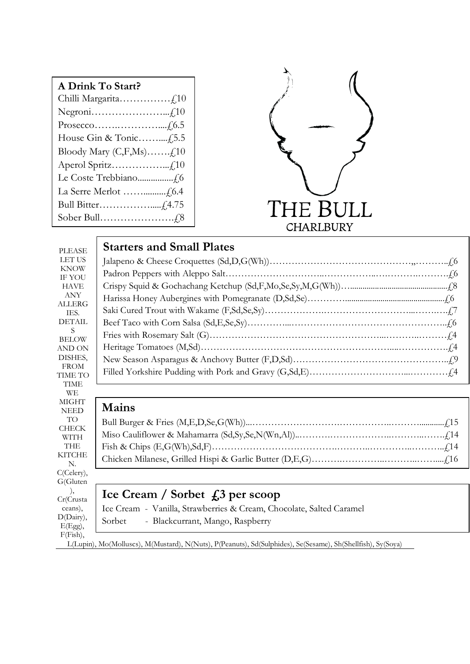| A Drink To Start?                |
|----------------------------------|
|                                  |
|                                  |
|                                  |
|                                  |
| Bloody Mary $(C, F, Ms)$ $f, 10$ |
|                                  |
|                                  |
|                                  |
|                                  |
|                                  |



| <b>PLEASE</b>                | <b>Starters and Small Plates</b>                                     |
|------------------------------|----------------------------------------------------------------------|
| LET US                       |                                                                      |
| <b>KNOW</b><br><b>IF YOU</b> |                                                                      |
| <b>HAVE</b>                  |                                                                      |
| <b>ANY</b>                   |                                                                      |
| <b>ALLERG</b><br>TES.        |                                                                      |
| <b>DETAIL</b>                |                                                                      |
| S<br><b>BELOW</b>            |                                                                      |
| AND ON                       |                                                                      |
| DISHES,                      |                                                                      |
| <b>FROM</b><br>TIME TO       |                                                                      |
| <b>TIME</b>                  |                                                                      |
|                              |                                                                      |
| <b>WE</b>                    |                                                                      |
| <b>MIGHT</b><br><b>NEED</b>  | <b>Mains</b>                                                         |
| <b>TO</b>                    |                                                                      |
| <b>CHECK</b>                 |                                                                      |
| <b>WITH</b><br><b>THE</b>    |                                                                      |
| <b>KITCHE</b>                |                                                                      |
| N.<br>C(Celery),             |                                                                      |
|                              |                                                                      |
| G(Gluten<br>),<br>Cr(Crusta  | Ice Cream / Sorbet $\int$ , 3 per scoop                              |
| ceans),<br>D(Dairy),         | Ice Cream - Vanilla, Strawberries & Cream, Chocolate, Salted Caramel |

F(Fish), L(Lupin), Mo(Molluscs), M(Mustard), N(Nuts), P(Peanuts), Sd(Sulphides), Se(Sesame), Sh(Shellfish), Sy(Soya)